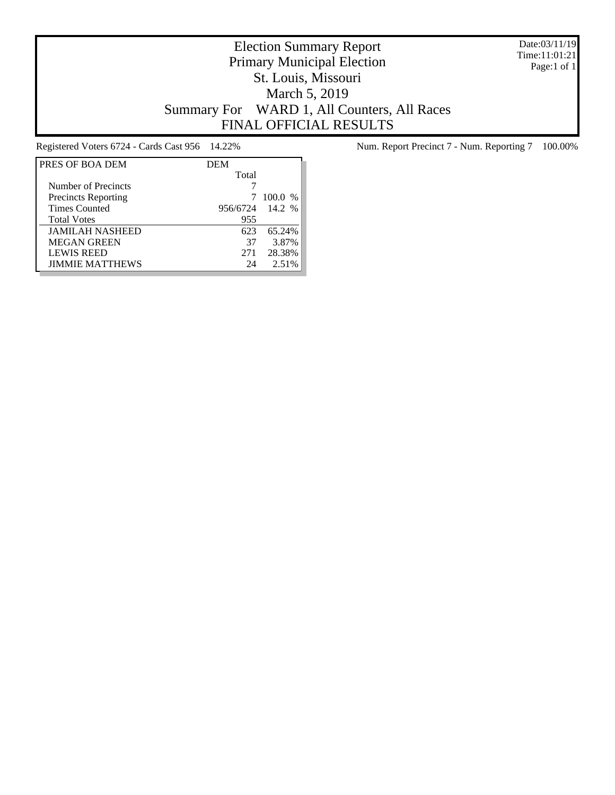Date:03/11/19 Time:11:01:21 Page:1 of 1

# Election Summary Report Primary Municipal Election St. Louis, Missouri March 5, 2019 Summary For WARD 1, All Counters, All Races FINAL OFFICIAL RESULTS

| PRES OF BOA DEM            | <b>DEM</b> |         |
|----------------------------|------------|---------|
|                            | Total      |         |
| Number of Precincts        |            |         |
| <b>Precincts Reporting</b> |            | 100.0 % |
| <b>Times Counted</b>       | 956/6724   | 14.2 %  |
| <b>Total Votes</b>         | 955        |         |
| <b>JAMILAH NASHEED</b>     | 623        | 65.24%  |
| <b>MEGAN GREEN</b>         | 37         | 3.87%   |
| <b>LEWIS REED</b>          | 271        | 28.38%  |
| <b>JIMMIE MATTHEWS</b>     | 24         | 2.51%   |

Registered Voters 6724 - Cards Cast 956 14.22% Num. Report Precinct 7 - Num. Reporting 7 100.00%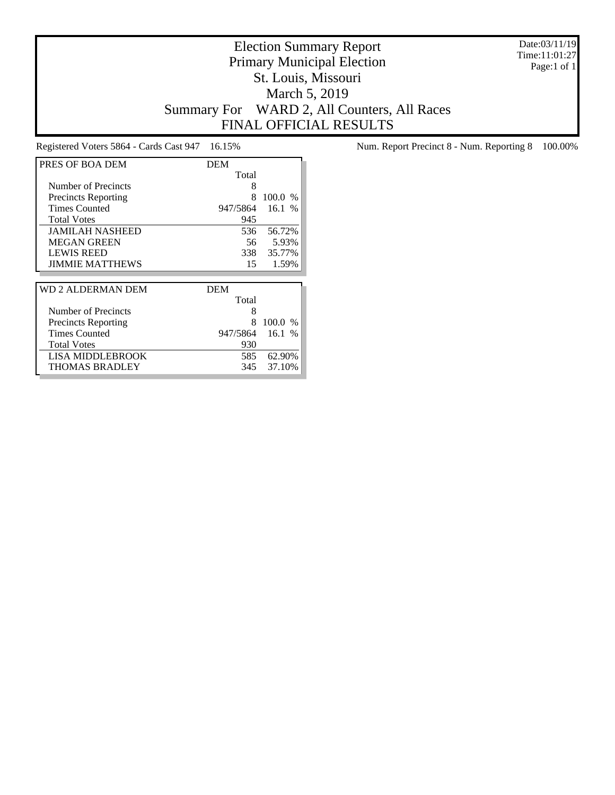Date:03/11/19 Time:11:01:27 Page:1 of 1

# Election Summary Report Primary Municipal Election St. Louis, Missouri March 5, 2019 Summary For WARD 2, All Counters, All Races FINAL OFFICIAL RESULTS

| PRES OF BOA DEM            | <b>DEM</b> |               |
|----------------------------|------------|---------------|
|                            | Total      |               |
| Number of Precincts        | 8          |               |
| <b>Precincts Reporting</b> | 8          | 100.0<br>$\%$ |
| <b>Times Counted</b>       | 947/5864   | 16.1%         |
| <b>Total Votes</b>         | 945        |               |
| <b>JAMILAH NASHEED</b>     | 536        | 56.72%        |
| MEGAN GREEN                | 56         | 5.93%         |
| <b>LEWIS REED</b>          | 338        | 35.77%        |
| <b>JIMMIE MATTHEWS</b>     | 15         | 1.59%         |
|                            |            |               |
|                            |            |               |
| WD 2 ALDERMAN DEM          | <b>DEM</b> |               |
|                            | Total      |               |
| Number of Precincts        | 8          |               |
| <b>Precincts Reporting</b> | 8          | 100.0 %       |
| Times Counted              | 947/5864   | 16.1%         |
| <b>Total Votes</b>         | 930        |               |
| LISA MIDDLEBROOK           | 585        | 62.90%        |

Registered Voters 5864 - Cards Cast 947 16.15% Num. Report Precinct 8 - Num. Reporting 8 100.00%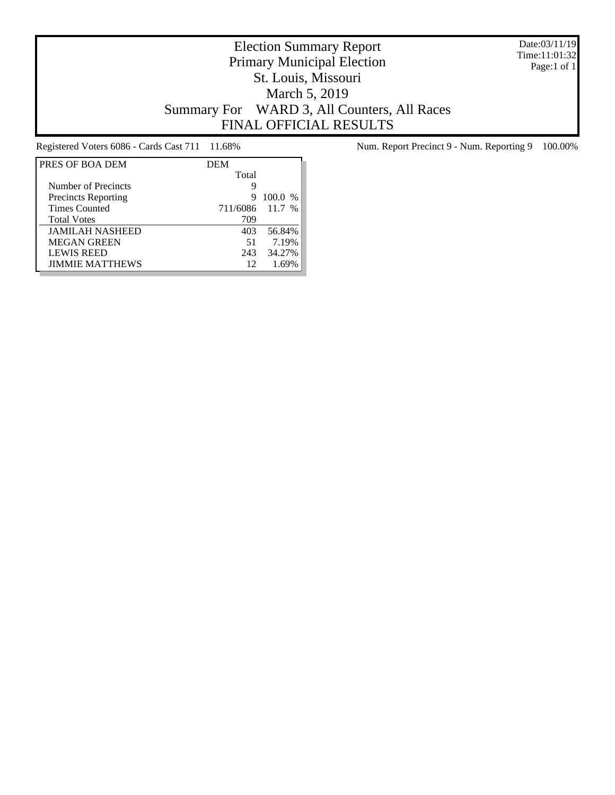Date:03/11/19 Time:11:01:32 Page:1 of 1

# Election Summary Report Primary Municipal Election St. Louis, Missouri March 5, 2019 Summary For WARD 3, All Counters, All Races FINAL OFFICIAL RESULTS

| PRES OF BOA DEM            | <b>DEM</b> |           |
|----------------------------|------------|-----------|
|                            | Total      |           |
| Number of Precincts        | 9          |           |
| <b>Precincts Reporting</b> | 9          | $100.0\%$ |
| <b>Times Counted</b>       | 711/6086   | $11.7\%$  |
| <b>Total Votes</b>         | 709        |           |
| <b>JAMILAH NASHEED</b>     | 403        | 56.84%    |
| <b>MEGAN GREEN</b>         | 51         | 7.19%     |
| <b>LEWIS REED</b>          | 243        | 34.27%    |
| <b>JIMMIE MATTHEWS</b>     | 12         | 1.69%     |

Registered Voters 6086 - Cards Cast 711 11.68% Num. Report Precinct 9 - Num. Reporting 9 100.00%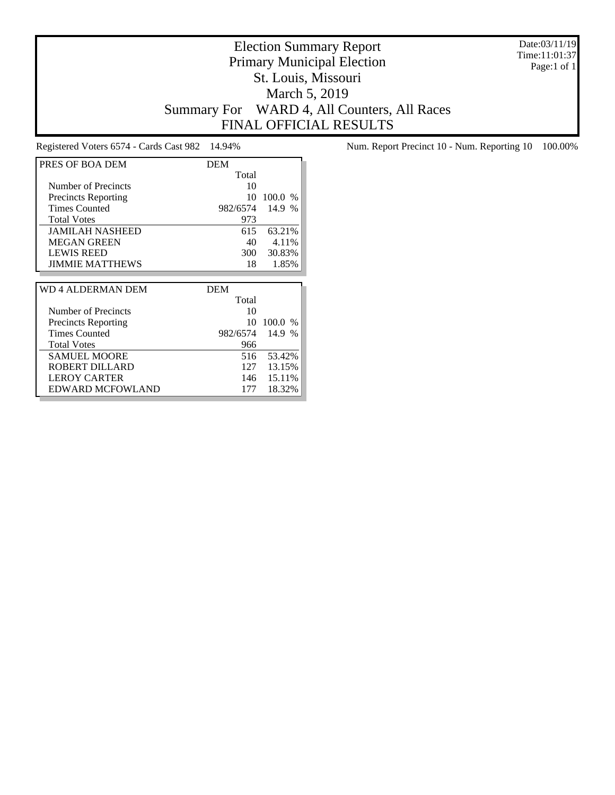Date:03/11/19 Time:11:01:37 Page:1 of 1

#### Election Summary Report Primary Municipal Election St. Louis, Missouri March 5, 2019 Summary For WARD 4, All Counters, All Races FINAL OFFICIAL RESULTS

| PRES OF BOA DEM            | <b>DEM</b> |               |
|----------------------------|------------|---------------|
|                            | Total      |               |
| Number of Precincts        | 10         |               |
| <b>Precincts Reporting</b> | 10         | 100.0<br>$\%$ |
| <b>Times Counted</b>       | 982/6574   | 14.9<br>$\%$  |
| <b>Total Votes</b>         | 973        |               |
| <b>JAMILAH NASHEED</b>     | 615        | 63.21%        |
| <b>MEGAN GREEN</b>         | 40         | 4.11%         |
| <b>LEWIS REED</b>          | 300        | 30.83%        |
| <b>JIMMIE MATTHEWS</b>     | 18         | 1.85%         |
|                            |            |               |
| WD 4 ALDERMAN DEM          | <b>DEM</b> |               |
|                            | Total      |               |
| Number of Precincts        |            |               |

Precincts Reporting 10 100.0 %<br>Times Counted 982/6574 14.9 %

SAMUEL MOORE 516 53.42%<br>ROBERT DILLARD 127 13.15%

LEROY CARTER 146 15.11% EDWARD MCFOWLAND 177 18.32%

Total Votes 966

ROBERT DILLARD

982/6574 14.9 %

Registered Voters 6574 - Cards Cast 982 14.94% Num. Report Precinct 10 - Num. Reporting 10 100.00%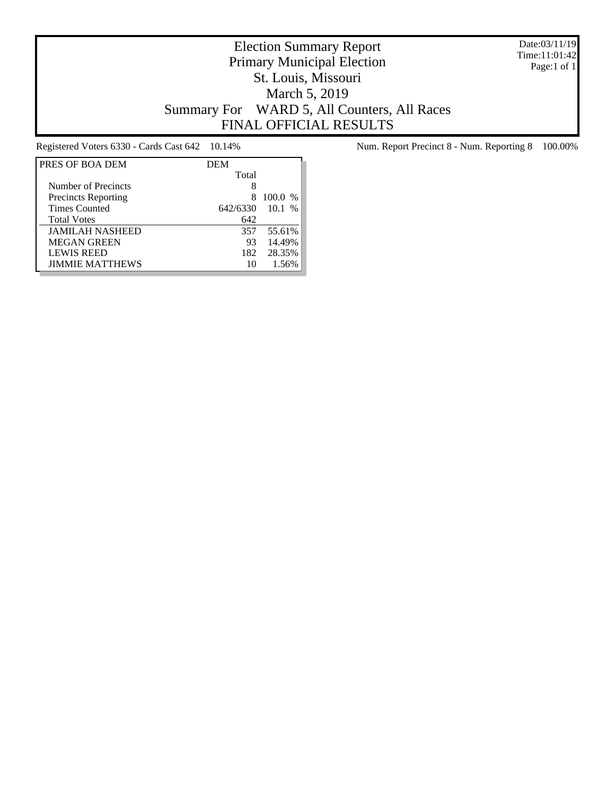Date:03/11/19 Time:11:01:42 Page:1 of 1

# Election Summary Report Primary Municipal Election St. Louis, Missouri March 5, 2019 Summary For WARD 5, All Counters, All Races FINAL OFFICIAL RESULTS

| PRES OF BOA DEM            | <b>DEM</b> |                        |
|----------------------------|------------|------------------------|
|                            | Total      |                        |
| Number of Precincts        | 8          |                        |
| <b>Precincts Reporting</b> |            | 100.0<br>$\frac{0}{0}$ |
| <b>Times Counted</b>       | 642/6330   | $10.1\%$               |
| <b>Total Votes</b>         | 642        |                        |
| <b>JAMILAH NASHEED</b>     | 357        | 55.61%                 |
| <b>MEGAN GREEN</b>         | 93         | 14.49%                 |
| <b>LEWIS REED</b>          | 182        | 28.35%                 |
| <b>JIMMIE MATTHEWS</b>     | 10         | 1.56%                  |

Registered Voters 6330 - Cards Cast 642 10.14% Num. Report Precinct 8 - Num. Reporting 8 100.00%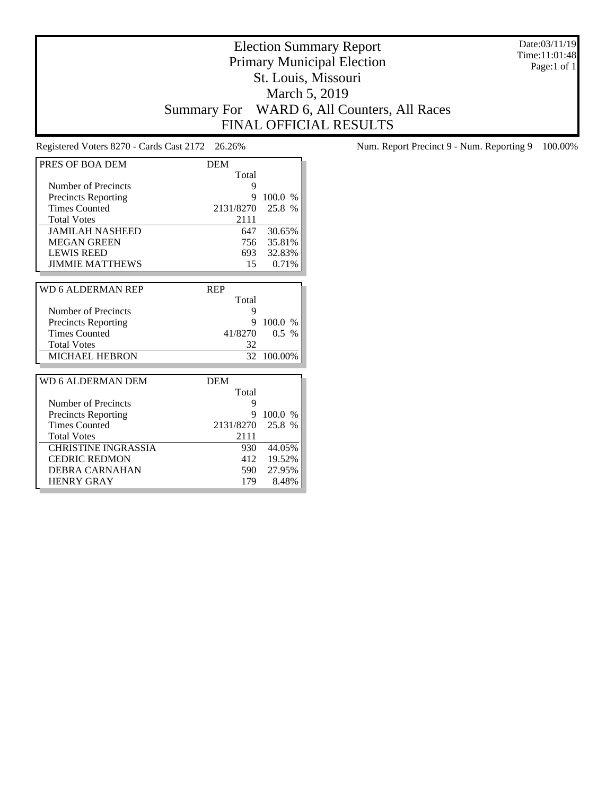Date:03/11/19 Time:11:01:48 Page:1 of 1

# Election Summary Report Primary Municipal Election St. Louis, Missouri March 5, 2019 Summary For WARD 6, All Counters, All Races FINAL OFFICIAL RESULTS

| PRES OF BOA DEM            | <b>DEM</b> |         |
|----------------------------|------------|---------|
|                            | Total      |         |
| Number of Precincts        | 9          |         |
| <b>Precincts Reporting</b> | 9          | 100.0 % |
| <b>Times Counted</b>       | 2131/8270  | 25.8 %  |
| <b>Total Votes</b>         | 2111       |         |
| <b>JAMILAH NASHEED</b>     | 647        | 30.65%  |
| <b>MEGAN GREEN</b>         | 756        | 35.81%  |
| <b>LEWIS REED</b>          | 693        | 32.83%  |
| <b>JIMMIE MATTHEWS</b>     | 15         | 0.71%   |
|                            |            |         |
| WD 6 ALDERMAN REP          | <b>REP</b> |         |
|                            | Total      |         |
| Number of Precincts        | 9          |         |
| <b>Precincts Reporting</b> | 9          | 100.0%  |
| <b>Times Counted</b>       | 41/8270    | $0.5\%$ |
| <b>Total Votes</b>         | 32         |         |
| <b>MICHAEL HEBRON</b>      | 32         | 100.00% |
|                            |            |         |
| WD 6 ALDERMAN DEM          | <b>DEM</b> |         |
|                            | Total      |         |
| Number of Precincts        | 9          |         |
| <b>Precincts Reporting</b> | 9          | 100.0 % |
| <b>Times Counted</b>       | 2131/8270  | 25.8 %  |
| <b>Total Votes</b>         | 2111       |         |
| <b>CHRISTINE INGRASSIA</b> | 930 -      | 44.05%  |
| <b>CEDRIC REDMON</b>       | 412        | 19.52%  |
| <b>DEBRA CARNAHAN</b>      | 590        | 27.95%  |
| <b>HENRY GRAY</b>          | 179        | 8.48%   |

Registered Voters 8270 - Cards Cast 2172 26.26% Num. Report Precinct 9 - Num. Reporting 9 100.00%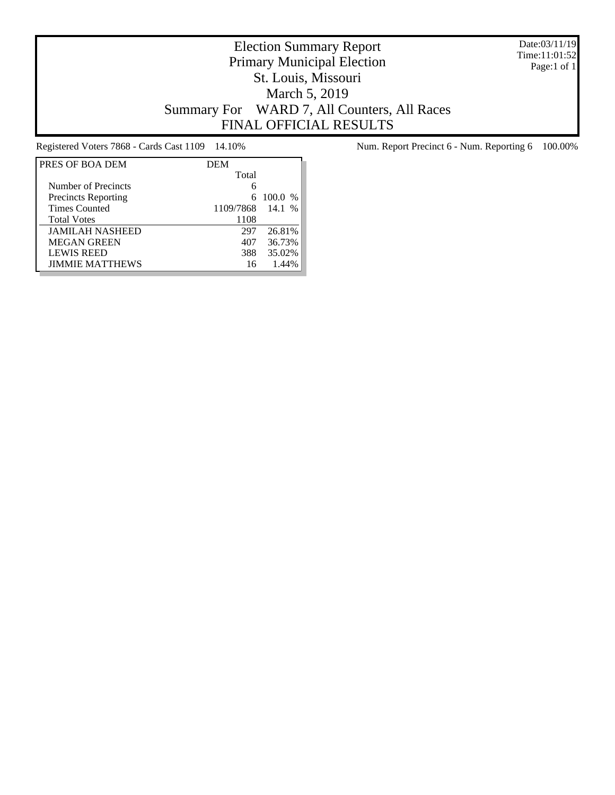Date:03/11/19 Time:11:01:52 Page:1 of 1

# Election Summary Report Primary Municipal Election St. Louis, Missouri March 5, 2019 Summary For WARD 7, All Counters, All Races FINAL OFFICIAL RESULTS

| PRES OF BOA DEM            | <b>DEM</b> |          |
|----------------------------|------------|----------|
|                            | Total      |          |
| Number of Precincts        | 6          |          |
| <b>Precincts Reporting</b> | 6          | 100.0 %  |
| <b>Times Counted</b>       | 1109/7868  | $14.1\%$ |
| <b>Total Votes</b>         | 1108       |          |
| <b>JAMILAH NASHEED</b>     | 297        | 26.81%   |
| <b>MEGAN GREEN</b>         | 407        | 36.73%   |
| <b>LEWIS REED</b>          | 388        | 35.02%   |
| <b>JIMMIE MATTHEWS</b>     | 16         | 1.44%    |

Registered Voters 7868 - Cards Cast 1109 14.10% Num. Report Precinct 6 - Num. Reporting 6 100.00%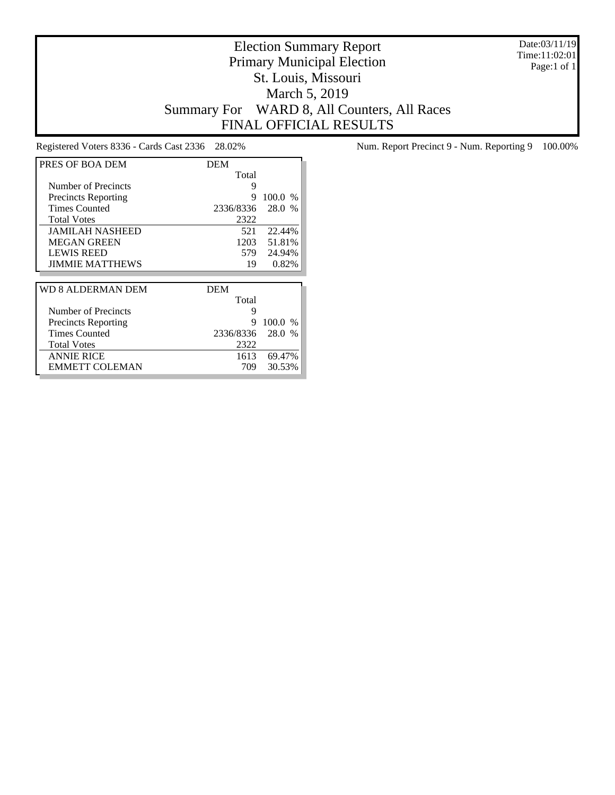Date:03/11/19 Time:11:02:01 Page:1 of 1

# Election Summary Report Primary Municipal Election St. Louis, Missouri March 5, 2019 Summary For WARD 8, All Counters, All Races FINAL OFFICIAL RESULTS

| PRES OF BOA DEM            | <b>DEM</b> |         |
|----------------------------|------------|---------|
|                            | Total      |         |
| Number of Precincts        | 9          |         |
| <b>Precincts Reporting</b> | 9          | 100.0 % |
| <b>Times Counted</b>       | 2336/8336  | 28.0 %  |
| <b>Total Votes</b>         | 2322       |         |
| <b>JAMILAH NASHEED</b>     | 521        | 22.44%  |
| <b>MEGAN GREEN</b>         | 1203       | 51.81%  |
| <b>LEWIS REED</b>          | 579        | 24.94%  |
| <b>JIMMIE MATTHEWS</b>     | 19         | 0.82%   |
|                            |            |         |
|                            |            |         |
| WD 8 ALDERMAN DEM          | <b>DEM</b> |         |
|                            | Total      |         |
| Number of Precincts        | 9          |         |
| <b>Precincts Reporting</b> | 9          | 100.0%  |
| <b>Times Counted</b>       | 2336/8336  | 28.0 %  |
| <b>Total Votes</b>         | 2322       |         |
| <b>ANNIE RICE</b>          | 1613       | 69.47%  |

Registered Voters 8336 - Cards Cast 2336 28.02% Num. Report Precinct 9 - Num. Reporting 9 100.00%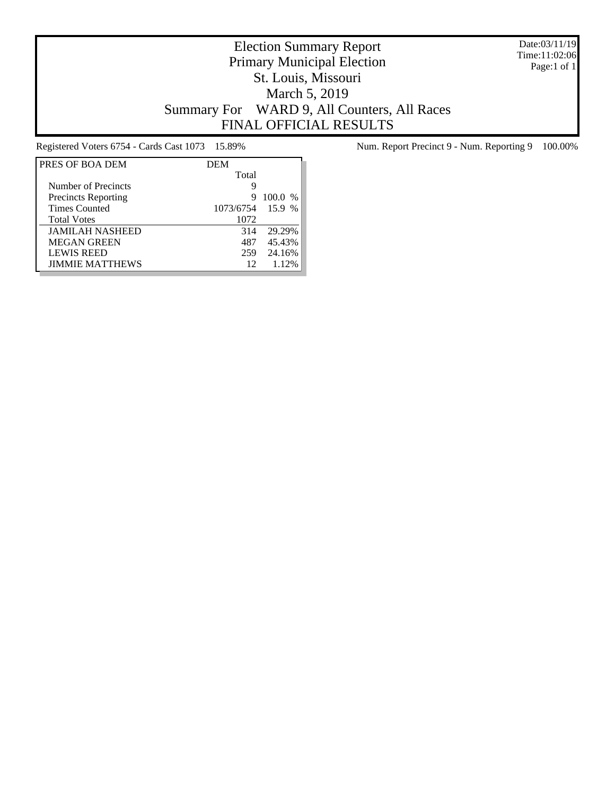Date:03/11/19 Time:11:02:06 Page:1 of 1

# Election Summary Report Primary Municipal Election St. Louis, Missouri March 5, 2019 Summary For WARD 9, All Counters, All Races FINAL OFFICIAL RESULTS

| PRES OF BOA DEM            | <b>DEM</b> |           |
|----------------------------|------------|-----------|
|                            | Total      |           |
| Number of Precincts        | g          |           |
| <b>Precincts Reporting</b> | 9          | $100.0\%$ |
| <b>Times Counted</b>       | 1073/6754  | 15.9 %    |
| <b>Total Votes</b>         | 1072       |           |
| <b>JAMILAH NASHEED</b>     | 314        | 29.29%    |
| <b>MEGAN GREEN</b>         | 487        | 45.43%    |
| <b>LEWIS REED</b>          | 259        | 24.16%    |
| <b>JIMMIE MATTHEWS</b>     | 12         | 1.12%     |

Registered Voters 6754 - Cards Cast 1073 15.89% Num. Report Precinct 9 - Num. Reporting 9 100.00%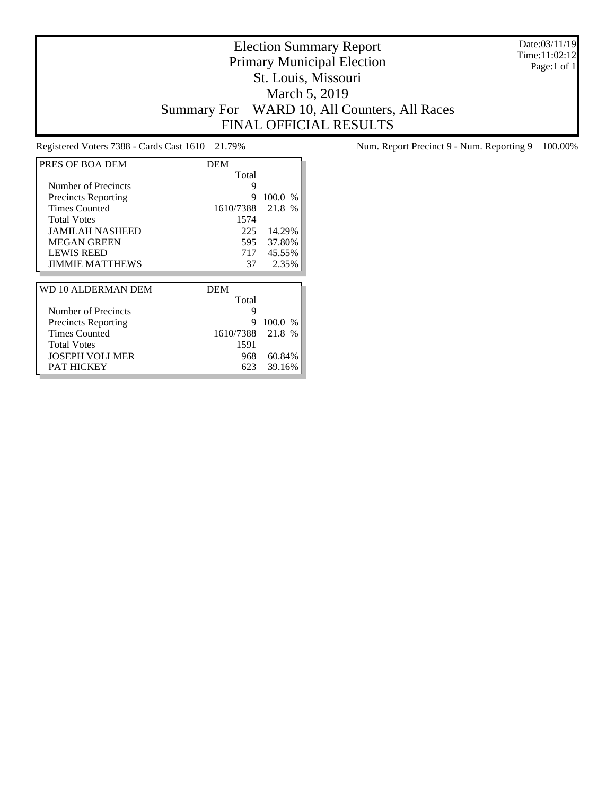Date:03/11/19 Time:11:02:12 Page:1 of 1

# Election Summary Report Primary Municipal Election St. Louis, Missouri March 5, 2019 Summary For WARD 10, All Counters, All Races FINAL OFFICIAL RESULTS

| PRES OF BOA DEM            | DEM        |         |
|----------------------------|------------|---------|
|                            | Total      |         |
| Number of Precincts        | 9          |         |
| <b>Precincts Reporting</b> | 9          | 100.0%  |
| <b>Times Counted</b>       | 1610/7388  | 21.8 %  |
| <b>Total Votes</b>         | 1574       |         |
| <b>JAMILAH NASHEED</b>     | 225        | 14.29%  |
| <b>MEGAN GREEN</b>         | 595        | 37.80%  |
| <b>LEWIS REED</b>          | 717        | 45.55%  |
| <b>JIMMIE MATTHEWS</b>     | 37         | 2.35%   |
|                            |            |         |
| WD 10 ALDERMAN DEM         | <b>DEM</b> |         |
|                            | Total      |         |
| Number of Precincts        | 9          |         |
|                            |            |         |
| <b>Precincts Reporting</b> | 9          | 100.0 % |
| <b>Times Counted</b>       | 1610/7388  | 21.8 %  |
| <b>Total Votes</b>         | 1591       |         |
| JOSEPH VOLLMER             | 968        | 60.84%  |

Registered Voters 7388 - Cards Cast 1610 21.79% Num. Report Precinct 9 - Num. Reporting 9 100.00%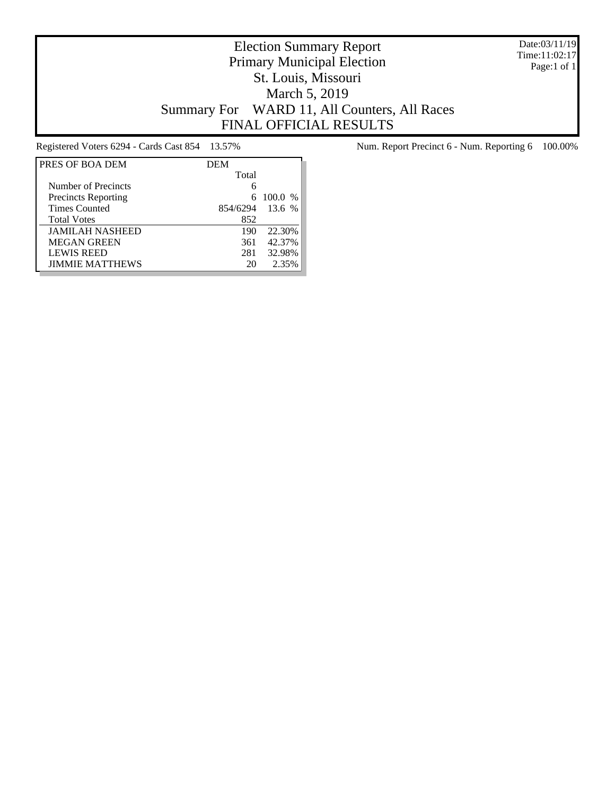Date:03/11/19 Time:11:02:17 Page:1 of 1

# Election Summary Report Primary Municipal Election St. Louis, Missouri March 5, 2019 Summary For WARD 11, All Counters, All Races FINAL OFFICIAL RESULTS

| PRES OF BOA DEM            | <b>DEM</b> |         |
|----------------------------|------------|---------|
|                            | Total      |         |
| Number of Precincts        | 6          |         |
| <b>Precincts Reporting</b> |            | 100.0 % |
| <b>Times Counted</b>       | 854/6294   | 13.6%   |
| <b>Total Votes</b>         | 852        |         |
| <b>JAMILAH NASHEED</b>     | 190        | 22.30%  |
| <b>MEGAN GREEN</b>         | 361        | 42.37%  |
| <b>LEWIS REED</b>          | 281        | 32.98%  |
| <b>JIMMIE MATTHEWS</b>     | 20         | 2.35%   |

Registered Voters 6294 - Cards Cast 854 13.57% Num. Report Precinct 6 - Num. Reporting 6 100.00%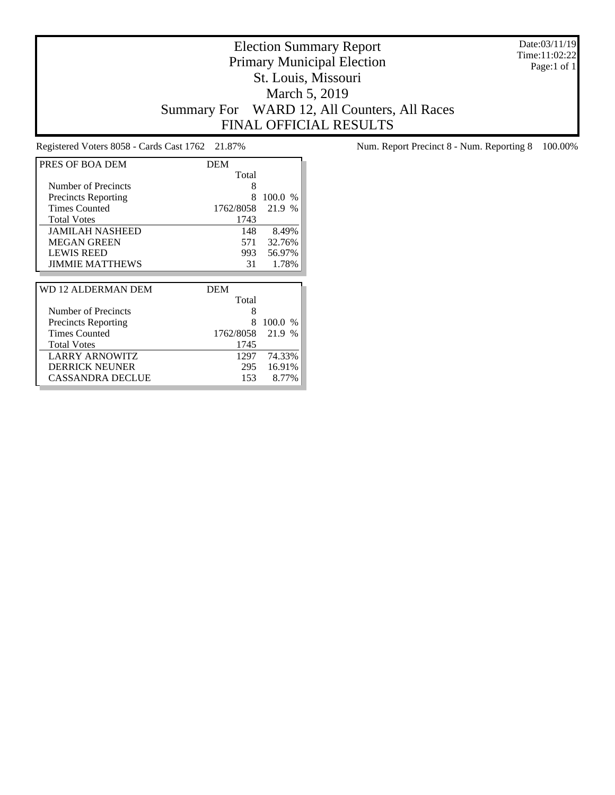Date:03/11/19 Time:11:02:22 Page:1 of 1

# Election Summary Report Primary Municipal Election St. Louis, Missouri March 5, 2019 Summary For WARD 12, All Counters, All Races FINAL OFFICIAL RESULTS

| PRES OF BOA DEM            | <b>DEM</b> |           |
|----------------------------|------------|-----------|
|                            | Total      |           |
| Number of Precincts        | 8          |           |
| <b>Precincts Reporting</b> | 8          | 100.0 %   |
| <b>Times Counted</b>       | 1762/8058  | 21.9 %    |
| <b>Total Votes</b>         | 1743       |           |
| <b>JAMILAH NASHEED</b>     | 148        | 8.49%     |
| <b>MEGAN GREEN</b>         | 571        | 32.76%    |
| <b>LEWIS REED</b>          | 993        | 56.97%    |
| <b>JIMMIE MATTHEWS</b>     | 31         | 1.78%     |
|                            |            |           |
|                            |            |           |
| WD 12 ALDERMAN DEM         | <b>DEM</b> |           |
|                            | Total      |           |
| Number of Precincts        | 8          |           |
| <b>Precincts Reporting</b> | 8          | $100.0\%$ |
| <b>Times Counted</b>       | 1762/8058  | 21.9 %    |
| <b>Total Votes</b>         | 1745       |           |
| <b>LARRY ARNOWITZ</b>      | 1297       | 74.33%    |
| DERRICK NEUNER             | 295        | 16.91%    |

Registered Voters 8058 - Cards Cast 1762 21.87% Num. Report Precinct 8 - Num. Reporting 8 100.00%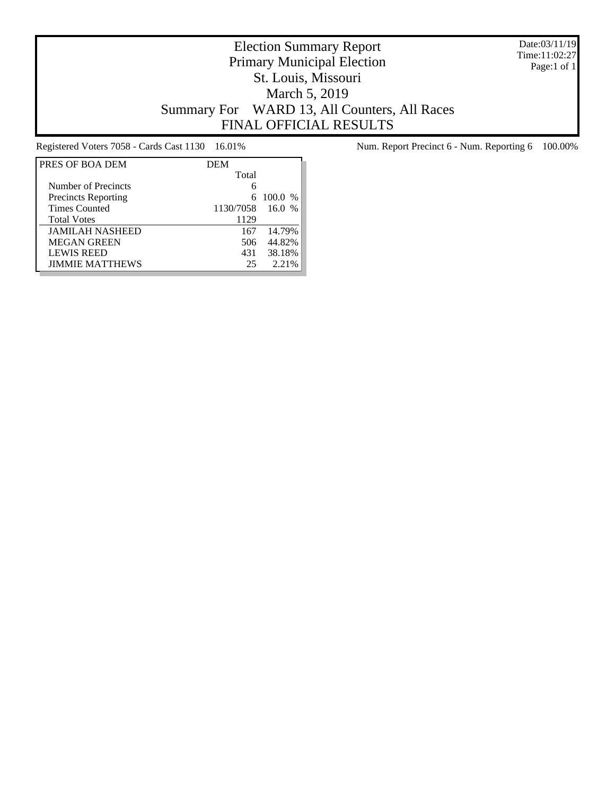Date:03/11/19 Time:11:02:27 Page:1 of 1

# Election Summary Report Primary Municipal Election St. Louis, Missouri March 5, 2019 Summary For WARD 13, All Counters, All Races FINAL OFFICIAL RESULTS

| PRES OF BOA DEM            | <b>DEM</b> |                       |
|----------------------------|------------|-----------------------|
|                            | Total      |                       |
| Number of Precincts        |            |                       |
| <b>Precincts Reporting</b> |            | 6 100.0 %             |
| <b>Times Counted</b>       | 1130/7058  | 16.0<br>$\frac{0}{6}$ |
| <b>Total Votes</b>         | 1129       |                       |
| <b>JAMILAH NASHEED</b>     | 167        | 14.79%                |
| <b>MEGAN GREEN</b>         | 506        | 44.82%                |
| <b>LEWIS REED</b>          | 431        | 38.18%                |
| <b>JIMMIE MATTHEWS</b>     | 25         | 2.21%                 |

Registered Voters 7058 - Cards Cast 1130 16.01% Num. Report Precinct 6 - Num. Reporting 6 100.00%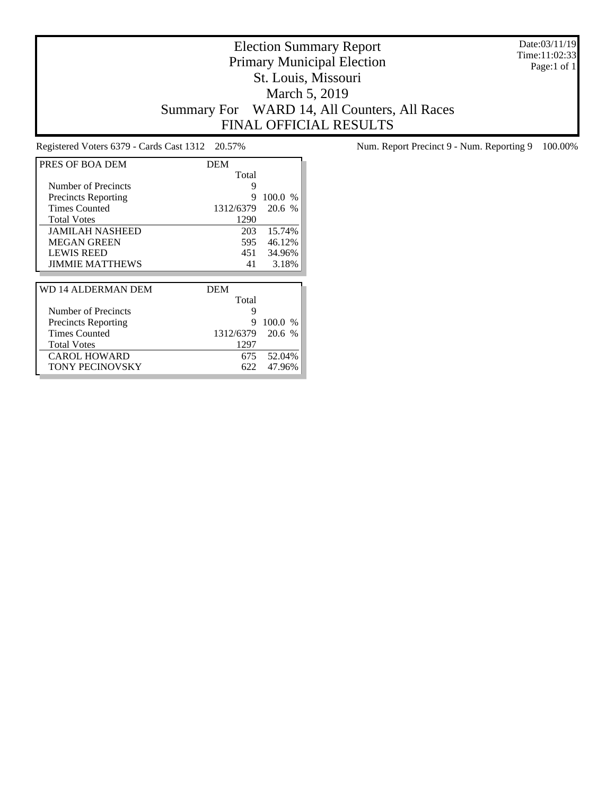Date:03/11/19 Time:11:02:33 Page:1 of 1

# Election Summary Report Primary Municipal Election St. Louis, Missouri March 5, 2019 Summary For WARD 14, All Counters, All Races FINAL OFFICIAL RESULTS

| PRES OF BOA DEM            | <b>DEM</b> |         |
|----------------------------|------------|---------|
|                            | Total      |         |
| Number of Precincts        | 9          |         |
| <b>Precincts Reporting</b> | 9          | 100.0 % |
| <b>Times Counted</b>       | 1312/6379  | 20.6 %  |
| <b>Total Votes</b>         | 1290       |         |
| <b>JAMILAH NASHEED</b>     | 203        | 15.74%  |
| <b>MEGAN GREEN</b>         | 595        | 46.12%  |
| <b>LEWIS REED</b>          | 451        | 34.96%  |
| <b>JIMMIE MATTHEWS</b>     | 41         | 3.18%   |
|                            |            |         |
|                            |            |         |
| WD 14 ALDERMAN DEM         | <b>DEM</b> |         |
|                            | Total      |         |
| Number of Precincts        | 9          |         |
| <b>Precincts Reporting</b> | 9          | 100.0 % |
| <b>Times Counted</b>       | 1312/6379  | 20.6 %  |
| <b>Total Votes</b>         | 1297       |         |
| <b>CAROL HOWARD</b>        | 675.       | 52.04%  |

Registered Voters 6379 - Cards Cast 1312 20.57% Num. Report Precinct 9 - Num. Reporting 9 100.00%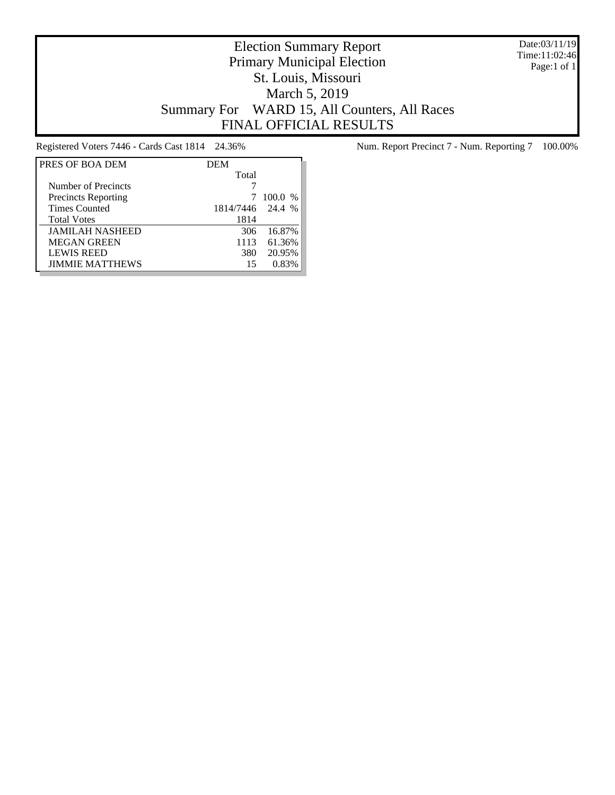Date:03/11/19 Time:11:02:46 Page:1 of 1

# Election Summary Report Primary Municipal Election St. Louis, Missouri March 5, 2019 Summary For WARD 15, All Counters, All Races FINAL OFFICIAL RESULTS

| PRES OF BOA DEM            | <b>DEM</b> |         |
|----------------------------|------------|---------|
|                            | Total      |         |
| Number of Precincts        |            |         |
| <b>Precincts Reporting</b> |            | 100.0 % |
| <b>Times Counted</b>       | 1814/7446  | 24.4 %  |
| <b>Total Votes</b>         | 1814       |         |
| <b>JAMILAH NASHEED</b>     | 306        | 16.87%  |
| <b>MEGAN GREEN</b>         | 1113       | 61.36%  |
| <b>LEWIS REED</b>          | 380        | 20.95%  |
| <b>JIMMIE MATTHEWS</b>     | 15         | 0.83%   |

Registered Voters 7446 - Cards Cast 1814 24.36% Num. Report Precinct 7 - Num. Reporting 7 100.00%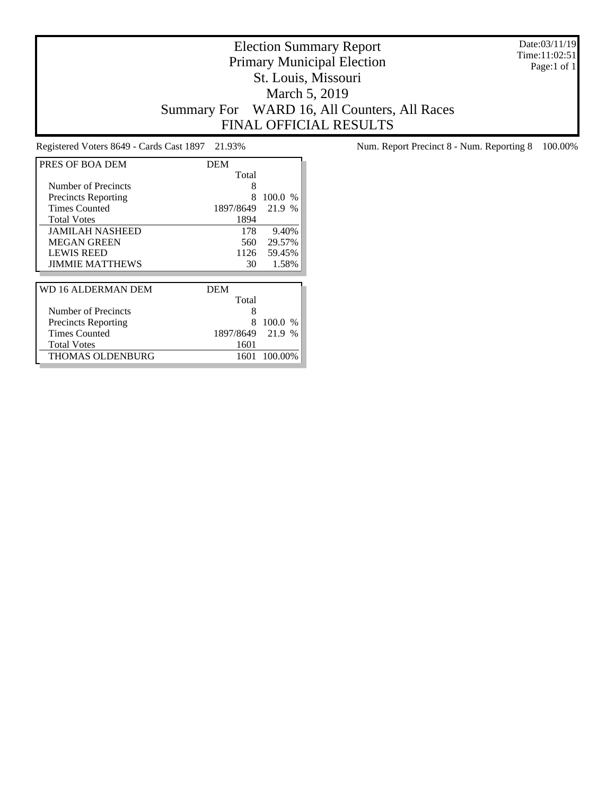Date:03/11/19 Time:11:02:51 Page:1 of 1

# Election Summary Report Primary Municipal Election St. Louis, Missouri March 5, 2019 Summary For WARD 16, All Counters, All Races FINAL OFFICIAL RESULTS

| PRES OF BOA DEM            | DEM        |                       |
|----------------------------|------------|-----------------------|
|                            | Total      |                       |
| Number of Precincts        | 8          |                       |
| <b>Precincts Reporting</b> | 8          | 100.0<br>$\%$         |
| <b>Times Counted</b>       | 1897/8649  | 21.9 %                |
| <b>Total Votes</b>         | 1894       |                       |
| <b>JAMILAH NASHEED</b>     | 178        | 9.40%                 |
| <b>MEGAN GREEN</b>         | 560        | 29.57%                |
| <b>LEWIS REED</b>          | 1126       | 59.45%                |
| <b>JIMMIE MATTHEWS</b>     | 30         | 1.58%                 |
|                            |            |                       |
| WD 16 ALDERMAN DEM         | <b>DEM</b> |                       |
|                            | Total      |                       |
| Number of Precincts        | 8          |                       |
| <b>Precincts Reporting</b> | 8          | 100.0%                |
| <b>Times Counted</b>       | 1897/8649  | 21.9<br>$\frac{0}{0}$ |
| <b>Total Votes</b>         | 1601       |                       |
| <b>THOMAS OLDENBURG</b>    | 1601       | 100.00%               |

Registered Voters 8649 - Cards Cast 1897 21.93% Num. Report Precinct 8 - Num. Reporting 8 100.00%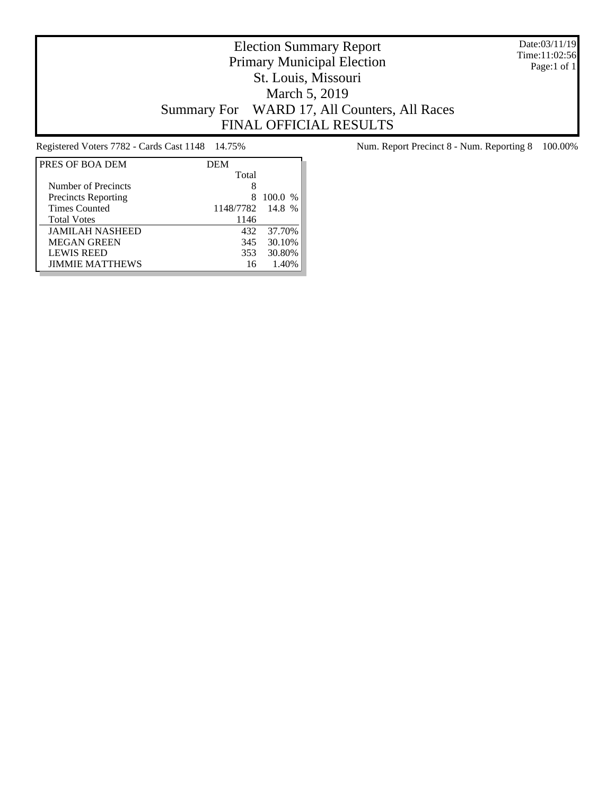Date:03/11/19 Time:11:02:56 Page:1 of 1

# Election Summary Report Primary Municipal Election St. Louis, Missouri March 5, 2019 Summary For WARD 17, All Counters, All Races FINAL OFFICIAL RESULTS

| PRES OF BOA DEM            | <b>DEM</b> |           |
|----------------------------|------------|-----------|
|                            | Total      |           |
| Number of Precincts        | 8          |           |
| <b>Precincts Reporting</b> |            | $100.0\%$ |
| <b>Times Counted</b>       | 1148/7782  | 14.8 %    |
| <b>Total Votes</b>         | 1146       |           |
| <b>JAMILAH NASHEED</b>     | 432        | 37.70%    |
| <b>MEGAN GREEN</b>         | 345        | 30.10%    |
| <b>LEWIS REED</b>          | 353        | 30.80%    |
| <b>JIMMIE MATTHEWS</b>     | 16         | 1.40%     |

Registered Voters 7782 - Cards Cast 1148 14.75% Num. Report Precinct 8 - Num. Reporting 8 100.00%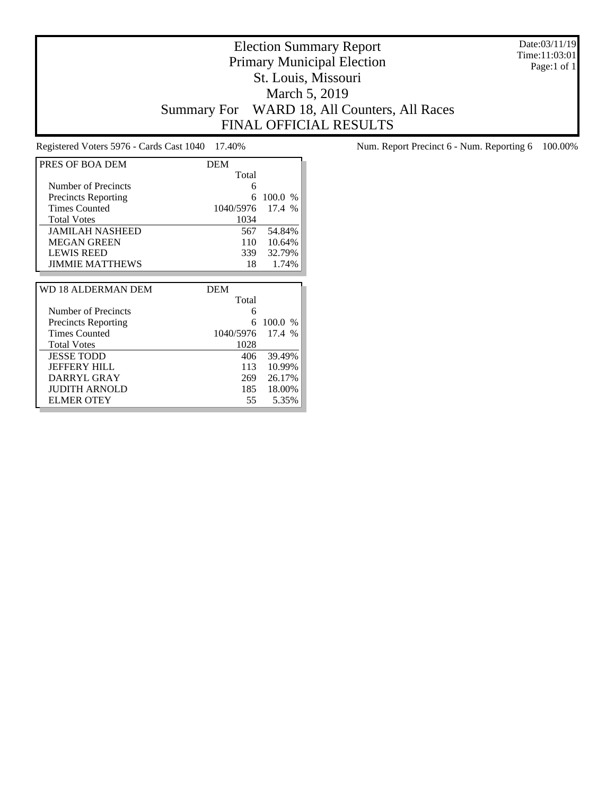Date:03/11/19 Time:11:03:01 Page:1 of 1

# Election Summary Report Primary Municipal Election St. Louis, Missouri March 5, 2019 Summary For WARD 18, All Counters, All Races FINAL OFFICIAL RESULTS

Registered Voters 5976 - Cards Cast 1040 17.40% Num. Report Precinct 6 - Num. Reporting 6 100.00%

| PRES OF BOA DEM            | <b>DEM</b> |         |
|----------------------------|------------|---------|
|                            | Total      |         |
| Number of Precincts        | 6          |         |
| <b>Precincts Reporting</b> | 6          | 100.0 % |
| <b>Times Counted</b>       | 1040/5976  | 17.4 %  |
| <b>Total Votes</b>         | 1034       |         |
| <b>JAMILAH NASHEED</b>     | 567        | 54.84%  |
| <b>MEGAN GREEN</b>         | 110        | 10.64%  |
| <b>LEWIS REED</b>          | 339        | 32.79%  |
| <b>JIMMIE MATTHEWS</b>     | 18         | 1.74%   |
|                            |            |         |
|                            |            |         |
| WD 18 ALDERMAN DEM         | <b>DEM</b> |         |
|                            | Total      |         |
| Number of Precincts        | 6          |         |
| <b>Precincts Reporting</b> | 6          | 100.0 % |
| <b>Times Counted</b>       | 1040/5976  | 17.4 %  |
| <b>Total Votes</b>         | 1028       |         |
| <b>JESSE TODD</b>          | 406        | 39.49%  |
| <b>JEFFERY HILL</b>        | 113        | 10.99%  |
| DARRYL GRAY                | 269        | 26.17%  |
| <b>JUDITH ARNOLD</b>       | 185        | 18.00%  |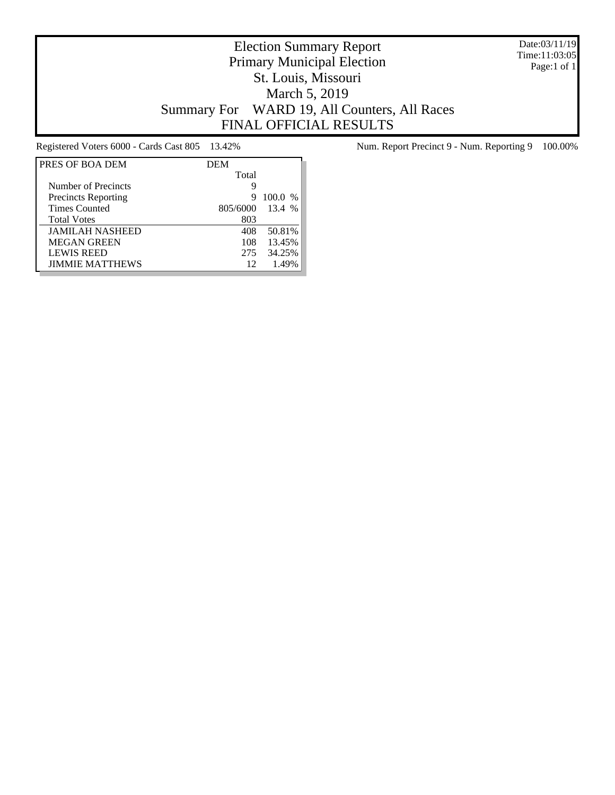Date:03/11/19 Time:11:03:05 Page:1 of 1

# Election Summary Report Primary Municipal Election St. Louis, Missouri March 5, 2019 Summary For WARD 19, All Counters, All Races FINAL OFFICIAL RESULTS

| PRES OF BOA DEM            | <b>DEM</b> |           |
|----------------------------|------------|-----------|
|                            | Total      |           |
| Number of Precincts        | Q          |           |
| <b>Precincts Reporting</b> | 9          | $100.0\%$ |
| <b>Times Counted</b>       | 805/6000   | 13.4 %    |
| <b>Total Votes</b>         | 803        |           |
| <b>JAMILAH NASHEED</b>     | 408        | 50.81%    |
| <b>MEGAN GREEN</b>         | 108        | 13.45%    |
| <b>LEWIS REED</b>          | 275        | 34.25%    |
| <b>JIMMIE MATTHEWS</b>     | 12         | 1.49%     |

Registered Voters 6000 - Cards Cast 805 13.42% Num. Report Precinct 9 - Num. Reporting 9 100.00%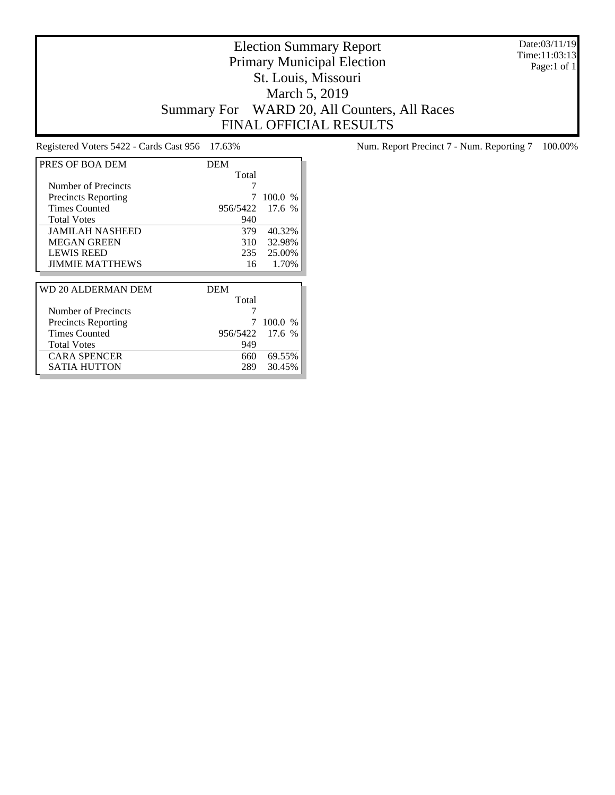Date:03/11/19 Time:11:03:13 Page:1 of 1

# Election Summary Report Primary Municipal Election St. Louis, Missouri March 5, 2019 Summary For WARD 20, All Counters, All Races FINAL OFFICIAL RESULTS

| PRES OF BOA DEM            | DEM        |           |
|----------------------------|------------|-----------|
|                            | Total      |           |
| Number of Precincts        | 7          |           |
| <b>Precincts Reporting</b> | 7          | $100.0\%$ |
| <b>Times Counted</b>       | 956/5422   | 17.6 %    |
| <b>Total Votes</b>         | 940        |           |
| <b>JAMILAH NASHEED</b>     | 379        | 40.32%    |
| <b>MEGAN GREEN</b>         | 310 ·      | 32.98%    |
| <b>LEWIS REED</b>          | 235        | 25.00%    |
| <b>JIMMIE MATTHEWS</b>     | 16         | 1.70%     |
|                            |            |           |
| WD 20 ALDERMAN DEM         | <b>DEM</b> |           |
|                            | Total      |           |
| Number of Precincts        |            |           |
| <b>Precincts Reporting</b> | 7          | $100.0\%$ |
| <b>Times Counted</b>       | 956/5422   | 17.6 %    |
| <b>Total Votes</b>         | 949        |           |
| <b>CARA SPENCER</b>        | 660.       | 69.55%    |
| SATIA HUTTON               | 289        | 30.45%    |

Registered Voters 5422 - Cards Cast 956 17.63% Num. Report Precinct 7 - Num. Reporting 7 100.00%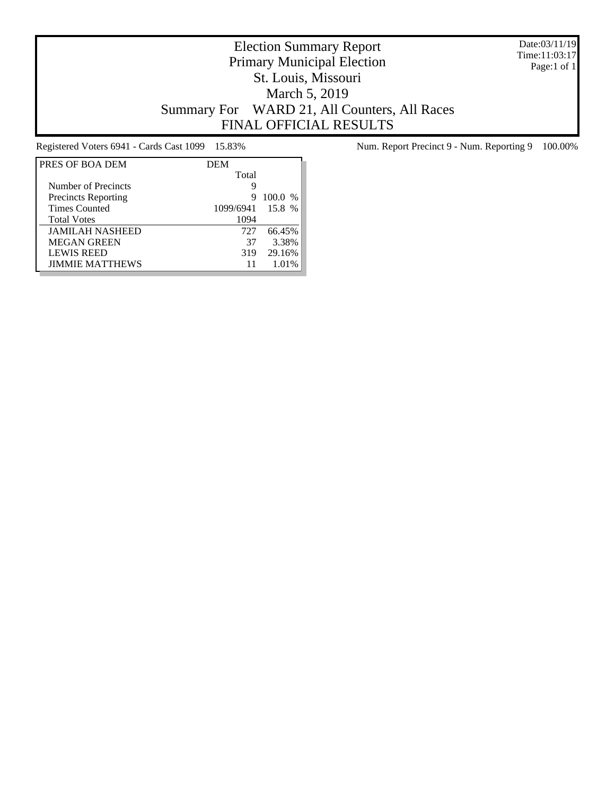Date:03/11/19 Time:11:03:17 Page:1 of 1

# Election Summary Report Primary Municipal Election St. Louis, Missouri March 5, 2019 Summary For WARD 21, All Counters, All Races FINAL OFFICIAL RESULTS

| PRES OF BOA DEM            | <b>DEM</b> |                        |
|----------------------------|------------|------------------------|
|                            | Total      |                        |
| Number of Precincts        | 9          |                        |
| <b>Precincts Reporting</b> | 9          | 100.0<br>$\frac{0}{0}$ |
| <b>Times Counted</b>       | 1099/6941  | 15.8 %                 |
| <b>Total Votes</b>         | 1094       |                        |
| <b>JAMILAH NASHEED</b>     | 727        | 66.45%                 |
| <b>MEGAN GREEN</b>         | 37         | 3.38%                  |
| <b>LEWIS REED</b>          | 319        | 29.16%                 |
| <b>JIMMIE MATTHEWS</b>     | 11         | 1.01%                  |

Registered Voters 6941 - Cards Cast 1099 15.83% Num. Report Precinct 9 - Num. Reporting 9 100.00%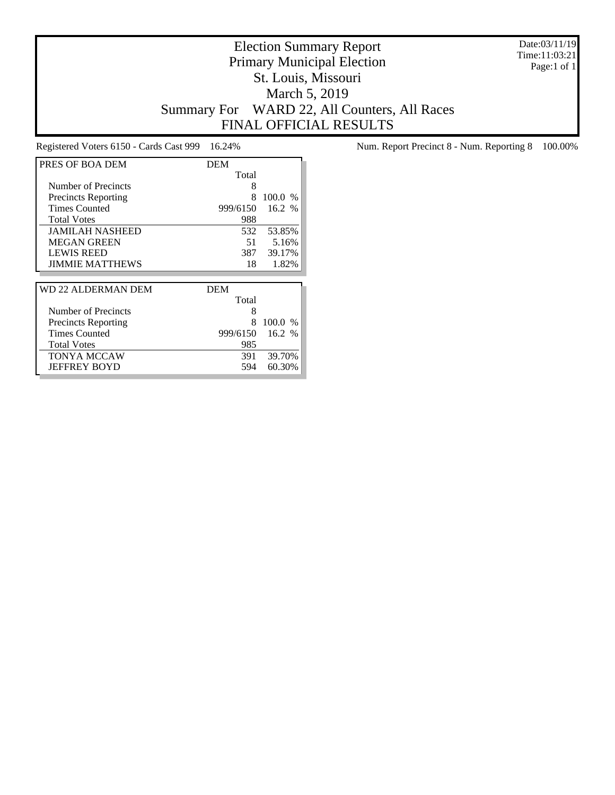Date:03/11/19 Time:11:03:21 Page:1 of 1

# Election Summary Report Primary Municipal Election St. Louis, Missouri March 5, 2019 Summary For WARD 22, All Counters, All Races FINAL OFFICIAL RESULTS

| PRES OF BOA DEM            | <b>DEM</b> |         |
|----------------------------|------------|---------|
|                            | Total      |         |
| Number of Precincts        | 8          |         |
| <b>Precincts Reporting</b> | 8          | 100.0%  |
| <b>Times Counted</b>       | 999/6150   | 16.2 %  |
| <b>Total Votes</b>         | 988        |         |
| <b>JAMILAH NASHEED</b>     | 532        | 53.85%  |
| <b>MEGAN GREEN</b>         | 51         | 5.16%   |
| <b>LEWIS REED</b>          | 387        | 39.17%  |
| <b>JIMMIE MATTHEWS</b>     | 18         | 1.82%   |
|                            |            |         |
|                            |            |         |
| WD 22 ALDERMAN DEM         | DEM        |         |
|                            | Total      |         |
| Number of Precincts        | 8          |         |
| <b>Precincts Reporting</b> | 8          | 100.0 % |
| <b>Times Counted</b>       | 999/6150   | 16.2 %  |
| <b>Total Votes</b>         | 985        |         |
| TONYA MCCAW                | 391        | 39.70%  |

Registered Voters 6150 - Cards Cast 999 16.24% Num. Report Precinct 8 - Num. Reporting 8 100.00%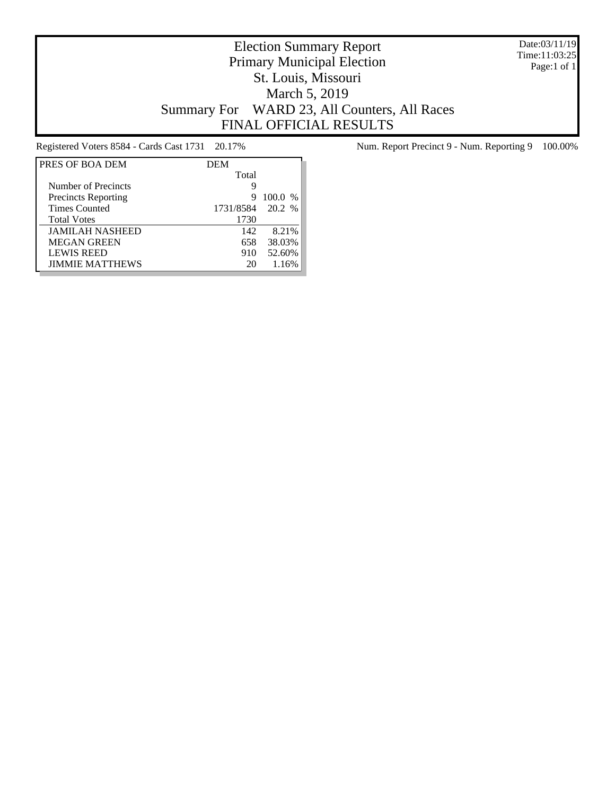Date:03/11/19 Time:11:03:25 Page:1 of 1

# Election Summary Report Primary Municipal Election St. Louis, Missouri March 5, 2019 Summary For WARD 23, All Counters, All Races FINAL OFFICIAL RESULTS

| PRES OF BOA DEM            | <b>DEM</b> |           |
|----------------------------|------------|-----------|
|                            | Total      |           |
| Number of Precincts        | 9          |           |
| <b>Precincts Reporting</b> | 9          | $100.0\%$ |
| <b>Times Counted</b>       | 1731/8584  | 20.2 %    |
| <b>Total Votes</b>         | 1730       |           |
| <b>JAMILAH NASHEED</b>     | 142        | 8.21%     |
| <b>MEGAN GREEN</b>         | 658        | 38.03%    |
| <b>LEWIS REED</b>          | 910        | 52.60%    |
| <b>JIMMIE MATTHEWS</b>     | 20         | 1.16%     |

Registered Voters 8584 - Cards Cast 1731 20.17% Num. Report Precinct 9 - Num. Reporting 9 100.00%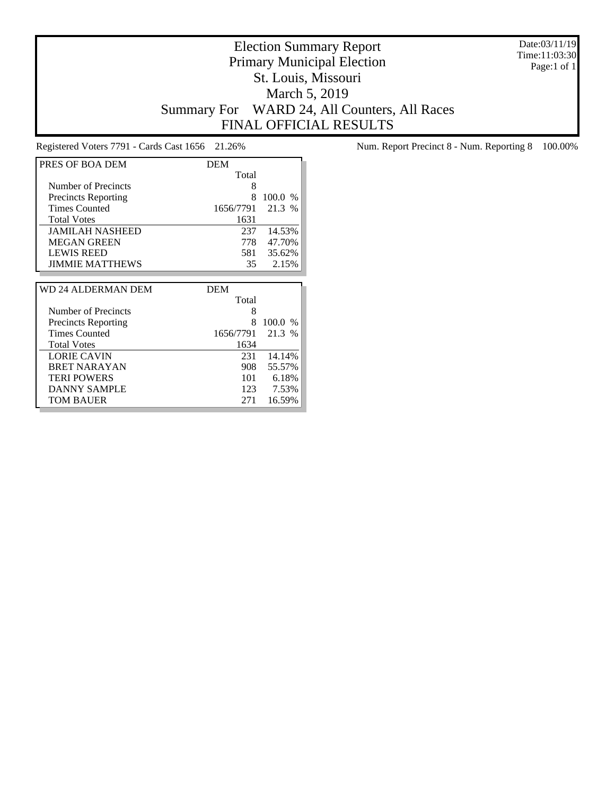Date:03/11/19 Time:11:03:30 Page:1 of 1

#### Election Summary Report Primary Municipal Election St. Louis, Missouri March 5, 2019 Summary For WARD 24, All Counters, All Races FINAL OFFICIAL RESULTS

| PRES OF BOA DEM            | <b>DEM</b> |               |
|----------------------------|------------|---------------|
|                            | Total      |               |
| Number of Precincts        | 8          |               |
| <b>Precincts Reporting</b> | 8          | 100.0<br>$\%$ |
| <b>Times Counted</b>       | 1656/7791  | 21.3 %        |
| <b>Total Votes</b>         | 1631       |               |
| <b>JAMILAH NASHEED</b>     | 237        | 14.53%        |
| <b>MEGAN GREEN</b>         | 778        | 47.70%        |
| <b>LEWIS REED</b>          | 581        | 35.62%        |
| <b>JIMMIE MATTHEWS</b>     | 35         | 2.15%         |
|                            |            |               |
|                            |            |               |
| WD 24 ALDERMAN DEM         | <b>DEM</b> |               |
|                            | Total      |               |
| Number of Precincts        | 8          |               |
| <b>Precincts Reporting</b> | 8          | 100.0<br>$\%$ |
| <b>Times Counted</b>       | 1656/7791  | 21.3 %        |
| <b>Total Votes</b>         | 1634       |               |
| <b>LORIE CAVIN</b>         | 231        | 14.14%        |
| <b>BRET NARAYAN</b>        | 908        | 55.57%        |
| <b>TERI POWERS</b>         | 101        | 6.18%         |
| DANNY SAMPLE               | 123        | 7.53%         |

Registered Voters 7791 - Cards Cast 1656 21.26% Num. Report Precinct 8 - Num. Reporting 8 100.00%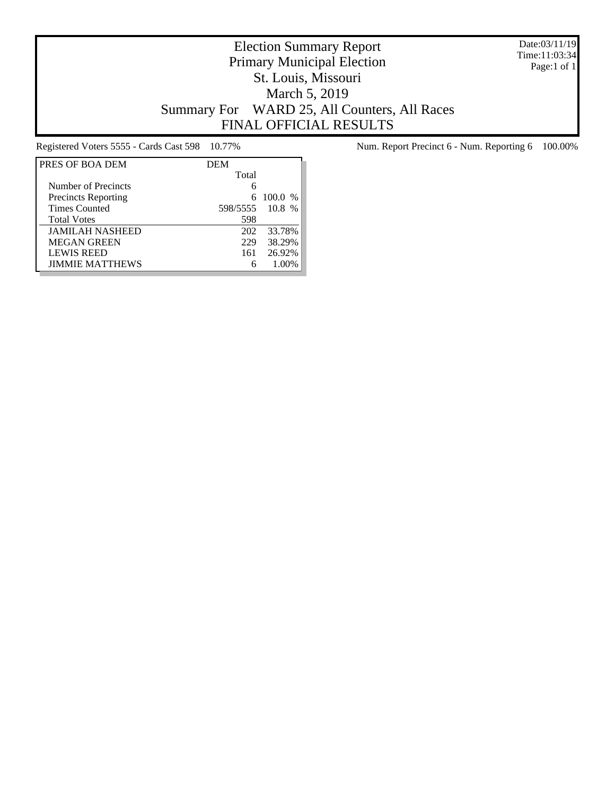Date:03/11/19 Time:11:03:34 Page:1 of 1

# Election Summary Report Primary Municipal Election St. Louis, Missouri March 5, 2019 Summary For WARD 25, All Counters, All Races FINAL OFFICIAL RESULTS

| PRES OF BOA DEM            | <b>DEM</b> |             |
|----------------------------|------------|-------------|
|                            | Total      |             |
| Number of Precincts        |            |             |
| <b>Precincts Reporting</b> |            | 6 100.0 $%$ |
| <b>Times Counted</b>       | 598/5555   | $10.8\%$    |
| <b>Total Votes</b>         | 598        |             |
| <b>JAMILAH NASHEED</b>     | 202        | 33.78%      |
| <b>MEGAN GREEN</b>         | 229        | 38.29%      |
| <b>LEWIS REED</b>          | 161        | 26.92%      |
| <b>JIMMIE MATTHEWS</b>     |            | 1.00%       |

Registered Voters 5555 - Cards Cast 598 10.77% Num. Report Precinct 6 - Num. Reporting 6 100.00%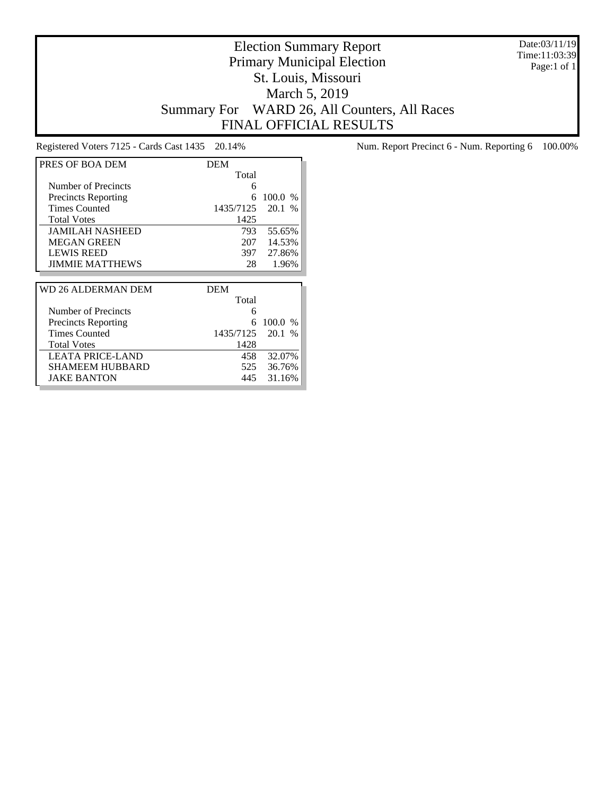Date:03/11/19 Time:11:03:39 Page:1 of 1

# Election Summary Report Primary Municipal Election St. Louis, Missouri March 5, 2019 Summary For WARD 26, All Counters, All Races FINAL OFFICIAL RESULTS

| PRES OF BOA DEM            | <b>DEM</b> |                       |
|----------------------------|------------|-----------------------|
|                            | Total      |                       |
| Number of Precincts        | 6          |                       |
| <b>Precincts Reporting</b> | 6          | 100.0 %               |
| <b>Times Counted</b>       | 1435/7125  | 20.1<br>$\frac{0}{0}$ |
| <b>Total Votes</b>         | 1425       |                       |
| <b>JAMILAH NASHEED</b>     | 793        | 55.65%                |
| <b>MEGAN GREEN</b>         | 207        | 14.53%                |
| <b>LEWIS REED</b>          | 397        | 27.86%                |
| <b>JIMMIE MATTHEWS</b>     | 28         | 1.96%                 |
|                            |            |                       |
|                            |            |                       |
| WD 26 ALDERMAN DEM         | <b>DEM</b> |                       |
|                            | Total      |                       |
| Number of Precincts        | 6          |                       |
| <b>Precincts Reporting</b> | 6          | $100.0\%$             |
| <b>Times Counted</b>       | 1435/7125  | 20.1<br>$\frac{0}{6}$ |
| <b>Total Votes</b>         | 1428       |                       |
| LEATA PRICE-LAND           | 458        | 32.07%                |
| SHAMEEM HUBBARD            | 525        | 36.76%                |

Registered Voters 7125 - Cards Cast 1435 20.14% Num. Report Precinct 6 - Num. Reporting 6 100.00%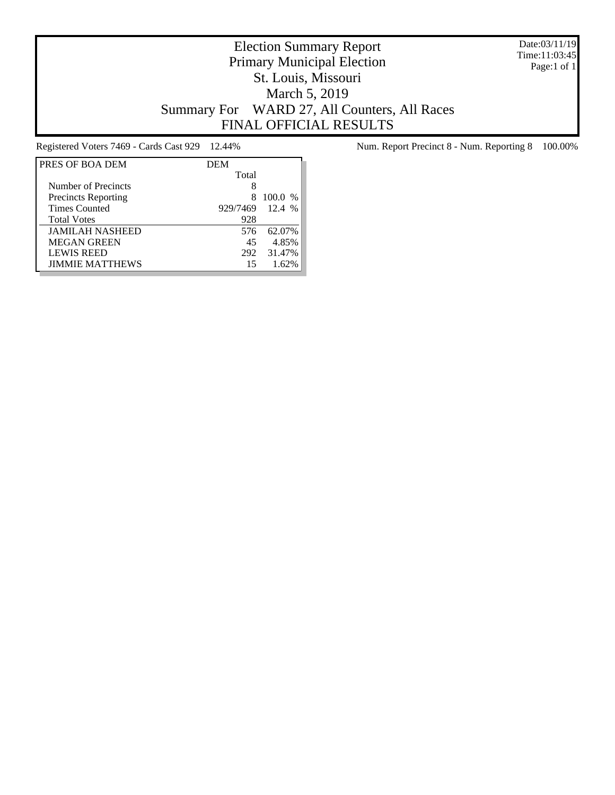Date:03/11/19 Time:11:03:45 Page:1 of 1

# Election Summary Report Primary Municipal Election St. Louis, Missouri March 5, 2019 Summary For WARD 27, All Counters, All Races FINAL OFFICIAL RESULTS

| PRES OF BOA DEM            | <b>DEM</b> |                        |
|----------------------------|------------|------------------------|
|                            | Total      |                        |
| Number of Precincts        | 8          |                        |
| <b>Precincts Reporting</b> | x          | 100.0<br>$\frac{0}{0}$ |
| <b>Times Counted</b>       | 929/7469   | 12.4%                  |
| <b>Total Votes</b>         | 928        |                        |
| <b>JAMILAH NASHEED</b>     | 576        | 62.07%                 |
| <b>MEGAN GREEN</b>         | 45         | 4.85%                  |
| <b>LEWIS REED</b>          | 292        | 31.47%                 |
| <b>JIMMIE MATTHEWS</b>     | 15         | 1.62%                  |

Registered Voters 7469 - Cards Cast 929 12.44% Num. Report Precinct 8 - Num. Reporting 8 100.00%